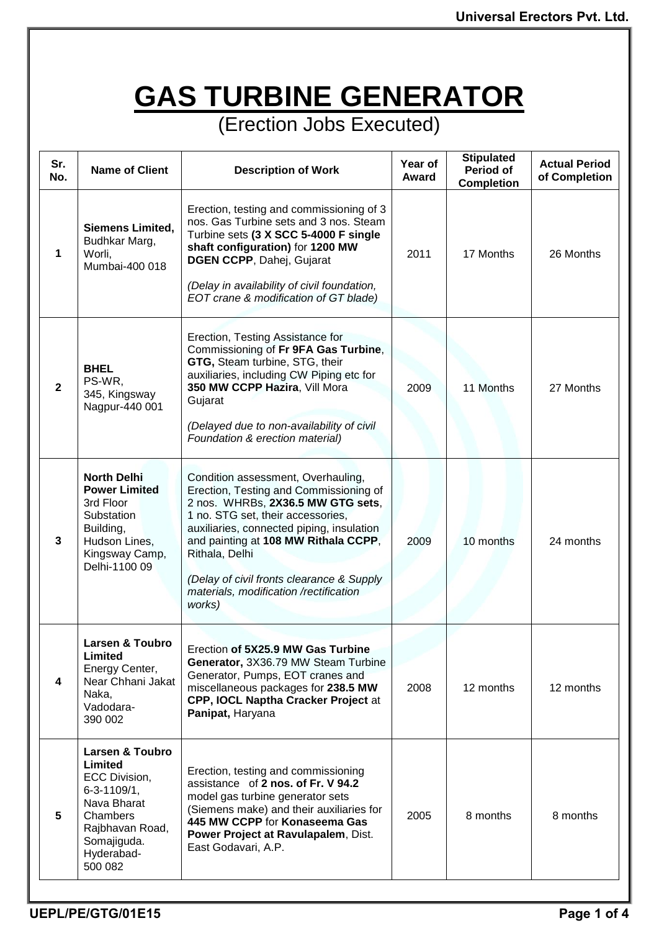## **GAS TURBINE GENERATOR**

(Erection Jobs Executed)

| Sr.<br>No.   | <b>Name of Client</b>                                                                                                                                             | <b>Description of Work</b>                                                                                                                                                                                                                                                                                                                                     | Year of<br>Award | <b>Stipulated</b><br>Period of<br><b>Completion</b> | <b>Actual Period</b><br>of Completion |
|--------------|-------------------------------------------------------------------------------------------------------------------------------------------------------------------|----------------------------------------------------------------------------------------------------------------------------------------------------------------------------------------------------------------------------------------------------------------------------------------------------------------------------------------------------------------|------------------|-----------------------------------------------------|---------------------------------------|
| 1            | <b>Siemens Limited,</b><br>Budhkar Marg,<br>Worli,<br>Mumbai-400 018                                                                                              | Erection, testing and commissioning of 3<br>nos. Gas Turbine sets and 3 nos. Steam<br>Turbine sets (3 X SCC 5-4000 F single<br>shaft configuration) for 1200 MW<br>DGEN CCPP, Dahej, Gujarat<br>(Delay in availability of civil foundation,<br>EOT crane & modification of GT blade)                                                                           | 2011             | 17 Months                                           | 26 Months                             |
| $\mathbf{2}$ | <b>BHEL</b><br>PS-WR.<br>345, Kingsway<br>Nagpur-440 001                                                                                                          | Erection, Testing Assistance for<br>Commissioning of Fr 9FA Gas Turbine,<br>GTG, Steam turbine, STG, their<br>auxiliaries, including CW Piping etc for<br>350 MW CCPP Hazira, Vill Mora<br>Gujarat<br>(Delayed due to non-availability of civil<br>Foundation & erection material)                                                                             | 2009             | 11 Months                                           | 27 Months                             |
| 3            | <b>North Delhi</b><br><b>Power Limited</b><br>3rd Floor<br>Substation<br>Building,<br>Hudson Lines,<br>Kingsway Camp,<br>Delhi-1100 09                            | Condition assessment, Overhauling,<br>Erection, Testing and Commissioning of<br>2 nos. WHRBs, 2X36.5 MW GTG sets,<br>1 no. STG set, their accessories,<br>auxiliaries, connected piping, insulation<br>and painting at 108 MW Rithala CCPP,<br>Rithala, Delhi<br>(Delay of civil fronts clearance & Supply<br>materials, modification /rectification<br>works) | 2009             | 10 months                                           | 24 months                             |
| 4            | <b>Larsen &amp; Toubro</b><br>Limited<br>Energy Center,<br>Near Chhani Jakat<br>Naka,<br>Vadodara-<br>390 002                                                     | Erection of 5X25.9 MW Gas Turbine<br>Generator, 3X36.79 MW Steam Turbine<br>Generator, Pumps, EOT cranes and<br>miscellaneous packages for 238.5 MW<br>CPP, IOCL Naptha Cracker Project at<br>Panipat, Haryana                                                                                                                                                 | 2008             | 12 months                                           | 12 months                             |
| 5            | <b>Larsen &amp; Toubro</b><br>Limited<br>ECC Division,<br>$6 - 3 - 1109/1,$<br>Nava Bharat<br>Chambers<br>Rajbhavan Road,<br>Somajiguda.<br>Hyderabad-<br>500 082 | Erection, testing and commissioning<br>assistance of 2 nos. of Fr. V 94.2<br>model gas turbine generator sets<br>(Siemens make) and their auxiliaries for<br>445 MW CCPP for Konaseema Gas<br>Power Project at Ravulapalem, Dist.<br>East Godavari, A.P.                                                                                                       | 2005             | 8 months                                            | 8 months                              |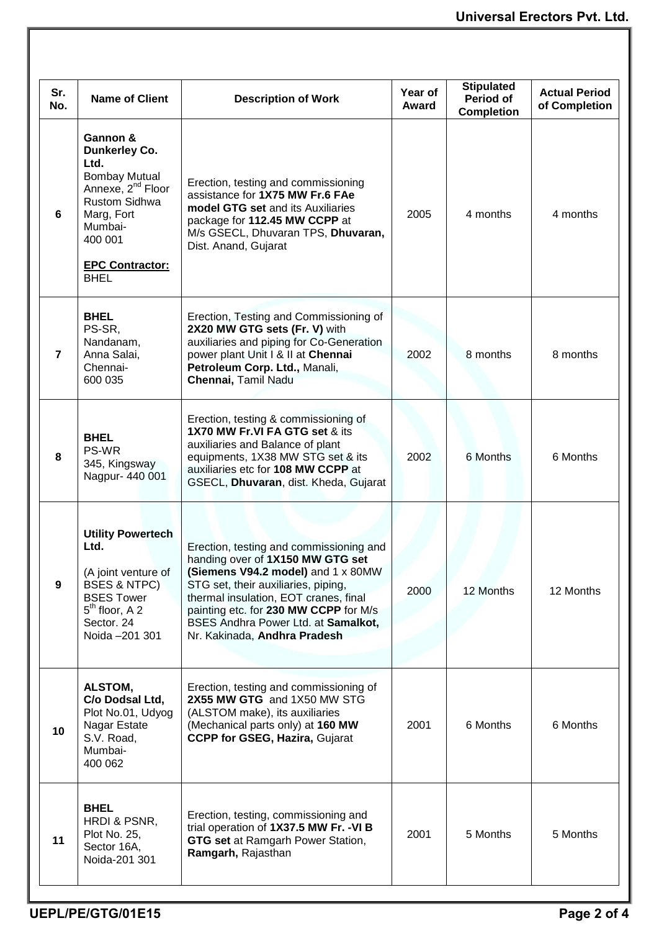| Sr.<br>No.     | <b>Name of Client</b>                                                                                                                                                                                  | <b>Description of Work</b>                                                                                                                                                                                                                                                                                        | Year of<br>Award | <b>Stipulated</b><br><b>Period of</b><br><b>Completion</b> | <b>Actual Period</b><br>of Completion |
|----------------|--------------------------------------------------------------------------------------------------------------------------------------------------------------------------------------------------------|-------------------------------------------------------------------------------------------------------------------------------------------------------------------------------------------------------------------------------------------------------------------------------------------------------------------|------------------|------------------------------------------------------------|---------------------------------------|
| 6              | Gannon &<br><b>Dunkerley Co.</b><br>Ltd.<br><b>Bombay Mutual</b><br>Annexe, 2 <sup>nd</sup> Floor<br><b>Rustom Sidhwa</b><br>Marg, Fort<br>Mumbai-<br>400 001<br><b>EPC Contractor:</b><br><b>BHEL</b> | Erection, testing and commissioning<br>assistance for 1X75 MW Fr.6 FAe<br>model GTG set and its Auxiliaries<br>package for 112.45 MW CCPP at<br>M/s GSECL, Dhuvaran TPS, Dhuvaran,<br>Dist. Anand, Gujarat                                                                                                        | 2005             | 4 months                                                   | 4 months                              |
| $\overline{7}$ | <b>BHEL</b><br>PS-SR,<br>Nandanam,<br>Anna Salai,<br>Chennai-<br>600 035                                                                                                                               | Erection, Testing and Commissioning of<br>2X20 MW GTG sets (Fr. V) with<br>auxiliaries and piping for Co-Generation<br>power plant Unit I & II at Chennai<br>Petroleum Corp. Ltd., Manali,<br>Chennai, Tamil Nadu                                                                                                 | 2002             | 8 months                                                   | 8 months                              |
| 8              | <b>BHEL</b><br>PS-WR<br>345, Kingsway<br>Nagpur- 440 001                                                                                                                                               | Erection, testing & commissioning of<br>1X70 MW Fr.VI FA GTG set & its<br>auxiliaries and Balance of plant<br>equipments, 1X38 MW STG set & its<br>auxiliaries etc for 108 MW CCPP at<br>GSECL, Dhuvaran, dist. Kheda, Gujarat                                                                                    | 2002             | 6 Months                                                   | 6 Months                              |
| 9              | <b>Utility Powertech</b><br>Ltd.<br>(A joint venture of<br><b>BSES &amp; NTPC)</b><br><b>BSES Tower</b><br>$5th$ floor, A 2<br>Sector. 24<br>Noida - 201 301                                           | Erection, testing and commissioning and<br>handing over of 1X150 MW GTG set<br>(Siemens V94.2 model) and 1 x 80MW<br>STG set, their auxiliaries, piping,<br>thermal insulation, EOT cranes, final<br>painting etc. for 230 MW CCPP for M/s<br>BSES Andhra Power Ltd. at Samalkot,<br>Nr. Kakinada, Andhra Pradesh | 2000             | 12 Months                                                  | 12 Months                             |
| 10             | ALSTOM,<br>C/o Dodsal Ltd,<br>Plot No.01, Udyog<br>Nagar Estate<br>S.V. Road,<br>Mumbai-<br>400 062                                                                                                    | Erection, testing and commissioning of<br>2X55 MW GTG and 1X50 MW STG<br>(ALSTOM make), its auxiliaries<br>(Mechanical parts only) at 160 MW<br><b>CCPP for GSEG, Hazira, Gujarat</b>                                                                                                                             | 2001             | 6 Months                                                   | 6 Months                              |
| 11             | <b>BHEL</b><br>HRDI & PSNR,<br><b>Plot No. 25,</b><br>Sector 16A,<br>Noida-201 301                                                                                                                     | Erection, testing, commissioning and<br>trial operation of 1X37.5 MW Fr. - VI B<br><b>GTG set at Ramgarh Power Station,</b><br>Ramgarh, Rajasthan                                                                                                                                                                 | 2001             | 5 Months                                                   | 5 Months                              |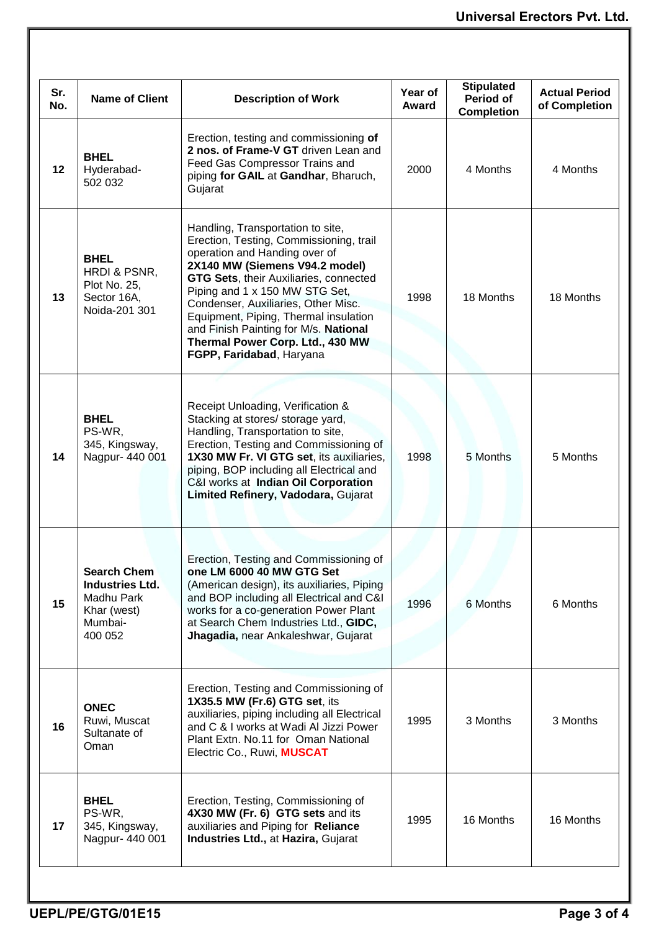| Sr.<br>No. | <b>Name of Client</b>                                                                           | <b>Description of Work</b>                                                                                                                                                                                                                                                                                                                                                                                           | Year of<br>Award | <b>Stipulated</b><br><b>Period of</b><br><b>Completion</b> | <b>Actual Period</b><br>of Completion |
|------------|-------------------------------------------------------------------------------------------------|----------------------------------------------------------------------------------------------------------------------------------------------------------------------------------------------------------------------------------------------------------------------------------------------------------------------------------------------------------------------------------------------------------------------|------------------|------------------------------------------------------------|---------------------------------------|
| 12         | <b>BHEL</b><br>Hyderabad-<br>502 032                                                            | Erection, testing and commissioning of<br>2 nos. of Frame-V GT driven Lean and<br>Feed Gas Compressor Trains and<br>piping for GAIL at Gandhar, Bharuch,<br>Gujarat                                                                                                                                                                                                                                                  | 2000             | 4 Months                                                   | 4 Months                              |
| 13         | <b>BHEL</b><br>HRDI & PSNR,<br>Plot No. 25,<br>Sector 16A,<br>Noida-201 301                     | Handling, Transportation to site,<br>Erection, Testing, Commissioning, trail<br>operation and Handing over of<br>2X140 MW (Siemens V94.2 model)<br>GTG Sets, their Auxiliaries, connected<br>Piping and 1 x 150 MW STG Set,<br>Condenser, Auxiliaries, Other Misc.<br>Equipment, Piping, Thermal insulation<br>and Finish Painting for M/s. National<br>Thermal Power Corp. Ltd., 430 MW<br>FGPP, Faridabad, Haryana | 1998             | 18 Months                                                  | 18 Months                             |
| 14         | <b>BHEL</b><br>PS-WR,<br>345, Kingsway,<br>Nagpur- 440 001                                      | Receipt Unloading, Verification &<br>Stacking at stores/ storage yard,<br>Handling, Transportation to site,<br>Erection, Testing and Commissioning of<br>1X30 MW Fr. VI GTG set, its auxiliaries,<br>piping, BOP including all Electrical and<br>C&I works at Indian Oil Corporation<br>Limited Refinery, Vadodara, Gujarat                                                                                          | 1998             | 5 Months                                                   | 5 Months                              |
| 15         | <b>Search Chem</b><br><b>Industries Ltd.</b><br>Madhu Park<br>Khar (west)<br>Mumbai-<br>400 052 | Erection, Testing and Commissioning of<br>one LM 6000 40 MW GTG Set<br>(American design), its auxiliaries, Piping<br>and BOP including all Electrical and C&I<br>works for a co-generation Power Plant<br>at Search Chem Industries Ltd., GIDC,<br>Jhagadia, near Ankaleshwar, Gujarat                                                                                                                               | 1996             | 6 Months                                                   | 6 Months                              |
| 16         | <b>ONEC</b><br>Ruwi, Muscat<br>Sultanate of<br>Oman                                             | Erection, Testing and Commissioning of<br>1X35.5 MW (Fr.6) GTG set, its<br>auxiliaries, piping including all Electrical<br>and C & I works at Wadi Al Jizzi Power<br>Plant Extn. No.11 for Oman National<br>Electric Co., Ruwi, MUSCAT                                                                                                                                                                               | 1995             | 3 Months                                                   | 3 Months                              |
| 17         | <b>BHEL</b><br>PS-WR,<br>345, Kingsway,<br>Nagpur- 440 001                                      | Erection, Testing, Commissioning of<br>4X30 MW (Fr. 6) GTG sets and its<br>auxiliaries and Piping for Reliance<br>Industries Ltd., at Hazira, Gujarat                                                                                                                                                                                                                                                                | 1995             | 16 Months                                                  | 16 Months                             |